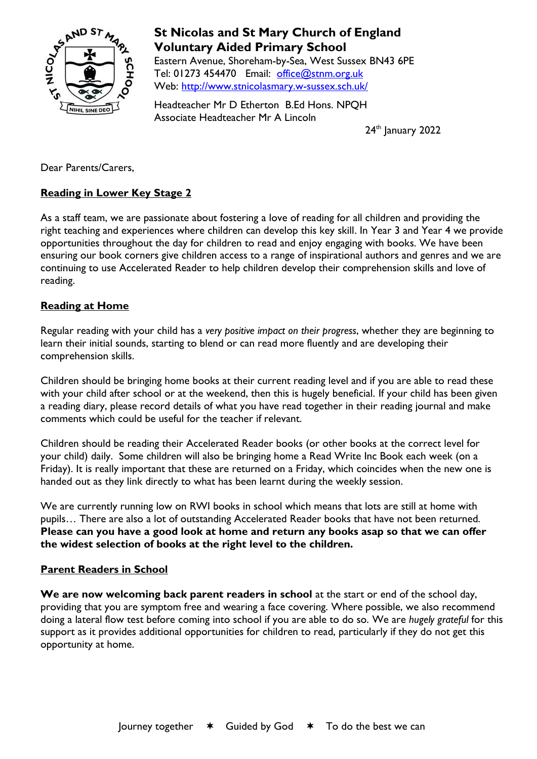

# **St Nicolas and St Mary Church of England Voluntary Aided Primary School**

Eastern Avenue, Shoreham-by-Sea, West Sussex BN43 6PE Tel: 01273 454470 Email: [office@stnm.org.uk](mailto:office@stnm.org.uk) Web:<http://www.stnicolasmary.w-sussex.sch.uk/>

Headteacher Mr D Etherton B.Ed Hons. NPQH Associate Headteacher Mr A Lincoln

24<sup>th</sup> January 2022

Dear Parents/Carers,

# **Reading in Lower Key Stage 2**

As a staff team, we are passionate about fostering a love of reading for all children and providing the right teaching and experiences where children can develop this key skill. In Year 3 and Year 4 we provide opportunities throughout the day for children to read and enjoy engaging with books. We have been ensuring our book corners give children access to a range of inspirational authors and genres and we are continuing to use Accelerated Reader to help children develop their comprehension skills and love of reading.

## **Reading at Home**

Regular reading with your child has a *very positive impact on their progress*, whether they are beginning to learn their initial sounds, starting to blend or can read more fluently and are developing their comprehension skills.

Children should be bringing home books at their current reading level and if you are able to read these with your child after school or at the weekend, then this is hugely beneficial. If your child has been given a reading diary, please record details of what you have read together in their reading journal and make comments which could be useful for the teacher if relevant.

Children should be reading their Accelerated Reader books (or other books at the correct level for your child) daily. Some children will also be bringing home a Read Write Inc Book each week (on a Friday). It is really important that these are returned on a Friday, which coincides when the new one is handed out as they link directly to what has been learnt during the weekly session.

We are currently running low on RWI books in school which means that lots are still at home with pupils… There are also a lot of outstanding Accelerated Reader books that have not been returned. **Please can you have a good look at home and return any books asap so that we can offer the widest selection of books at the right level to the children.**

### **Parent Readers in School**

**We are now welcoming back parent readers in school** at the start or end of the school day, providing that you are symptom free and wearing a face covering. Where possible, we also recommend doing a lateral flow test before coming into school if you are able to do so. We are *hugely grateful* for this support as it provides additional opportunities for children to read, particularly if they do not get this opportunity at home.